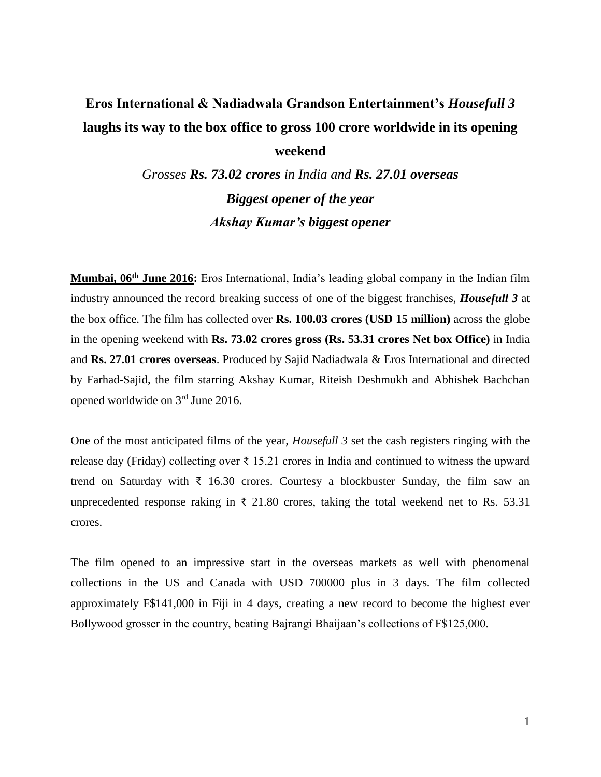## **Eros International & Nadiadwala Grandson Entertainment's** *Housefull 3*  **laughs its way to the box office to gross 100 crore worldwide in its opening weekend**

*Grosses Rs. 73.02 crores in India and Rs. 27.01 overseas Biggest opener of the year Akshay Kumar's biggest opener* 

**Mumbai, 06th June 2016:** Eros International, India's leading global company in the Indian film industry announced the record breaking success of one of the biggest franchises, *Housefull 3* at the box office. The film has collected over **Rs. 100.03 crores (USD 15 million)** across the globe in the opening weekend with **Rs. 73.02 crores gross (Rs. 53.31 crores Net box Office)** in India and **Rs. 27.01 crores overseas**. Produced by Sajid Nadiadwala & Eros International and directed by Farhad-Sajid, the film starring Akshay Kumar, Riteish Deshmukh and Abhishek Bachchan opened worldwide on 3rd June 2016.

One of the most anticipated films of the year, *Housefull 3* set the cash registers ringing with the release day (Friday) collecting over ₹ 15.21 crores in India and continued to witness the upward trend on Saturday with  $\bar{\xi}$  16.30 crores. Courtesy a blockbuster Sunday, the film saw an unprecedented response raking in  $\bar{\tau}$  21.80 crores, taking the total weekend net to Rs. 53.31 crores.

The film opened to an impressive start in the overseas markets as well with phenomenal collections in the US and Canada with USD 700000 plus in 3 days*.* The film collected approximately F\$141,000 in Fiji in 4 days, creating a new record to become the highest ever Bollywood grosser in the country, beating Bajrangi Bhaijaan's collections of F\$125,000.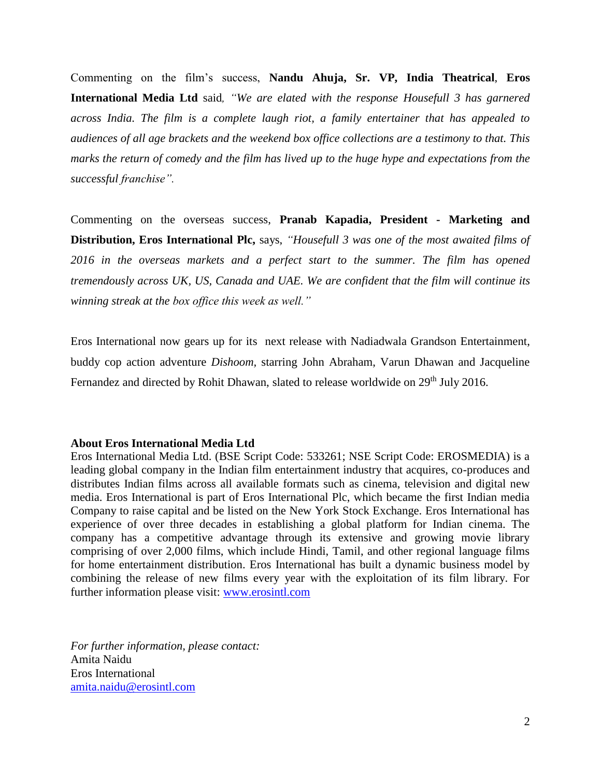Commenting on the film's success, **Nandu Ahuja, Sr. VP, India Theatrical**, **Eros International Media Ltd** said*, "We are elated with the response Housefull 3 has garnered across India. The film is a complete laugh riot, a family entertainer that has appealed to audiences of all age brackets and the weekend box office collections are a testimony to that. This marks the return of comedy and the film has lived up to the huge hype and expectations from the successful franchise".* 

Commenting on the overseas success, **Pranab Kapadia, President - Marketing and Distribution, Eros International Plc,** says, *"Housefull 3 was one of the most awaited films of 2016 in the overseas markets and a perfect start to the summer. The film has opened tremendously across UK, US, Canada and UAE. We are confident that the film will continue its winning streak at the box office this week as well."*

Eros International now gears up for its next release with Nadiadwala Grandson Entertainment, buddy cop action adventure *Dishoom,* starring John Abraham, Varun Dhawan and Jacqueline Fernandez and directed by Rohit Dhawan, slated to release worldwide on 29<sup>th</sup> July 2016.

## **About Eros International Media Ltd**

Eros International Media Ltd. (BSE Script Code: 533261; NSE Script Code: EROSMEDIA) is a leading global company in the Indian film entertainment industry that acquires, co-produces and distributes Indian films across all available formats such as cinema, television and digital new media. Eros International is part of Eros International Plc, which became the first Indian media Company to raise capital and be listed on the New York Stock Exchange. Eros International has experience of over three decades in establishing a global platform for Indian cinema. The company has a competitive advantage through its extensive and growing movie library comprising of over 2,000 films, which include Hindi, Tamil, and other regional language films for home entertainment distribution. Eros International has built a dynamic business model by combining the release of new films every year with the exploitation of its film library. For further information please visit: [www.erosintl.com](http://www.erosintl.com/)

*For further information, please contact:* Amita Naidu Eros International [amita.naidu@erosintl.com](mailto:amita.naidu@erosintl.com)